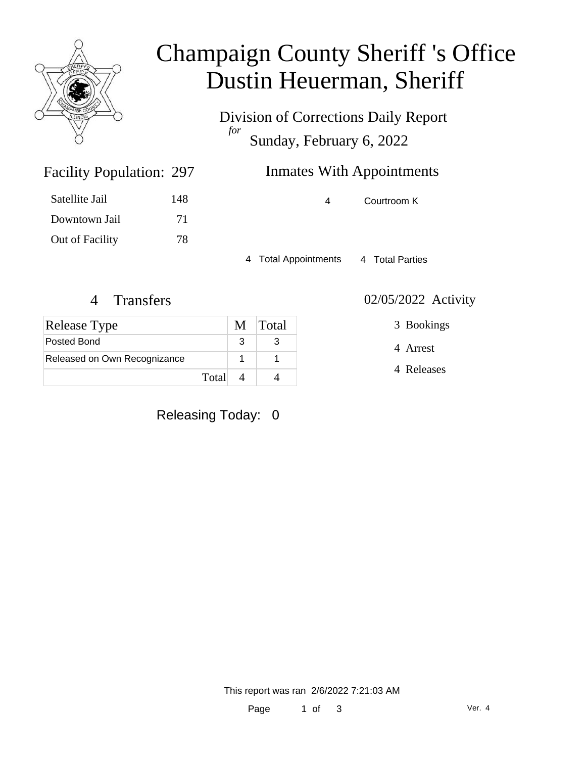

## Champaign County Sheriff 's Office Dustin Heuerman, Sheriff

Division of Corrections Daily Report *for* Sunday, February 6, 2022

| 297 | <b>Inmates With Appointments</b> |
|-----|----------------------------------|
|     |                                  |

4 Courtroom K

4 Total Appointments 4 Total Parties

Facility Population: 297

Satellite Jail 148

Downtown Jail 71

Out of Facility 78

| <b>Release Type</b>          | M Total |
|------------------------------|---------|
| Posted Bond                  |         |
| Released on Own Recognizance |         |
| Total                        |         |

Releasing Today: 0

4 Transfers 02/05/2022 Activity

3 Bookings

4 Arrest

4 Releases

This report was ran 2/6/2022 7:21:03 AM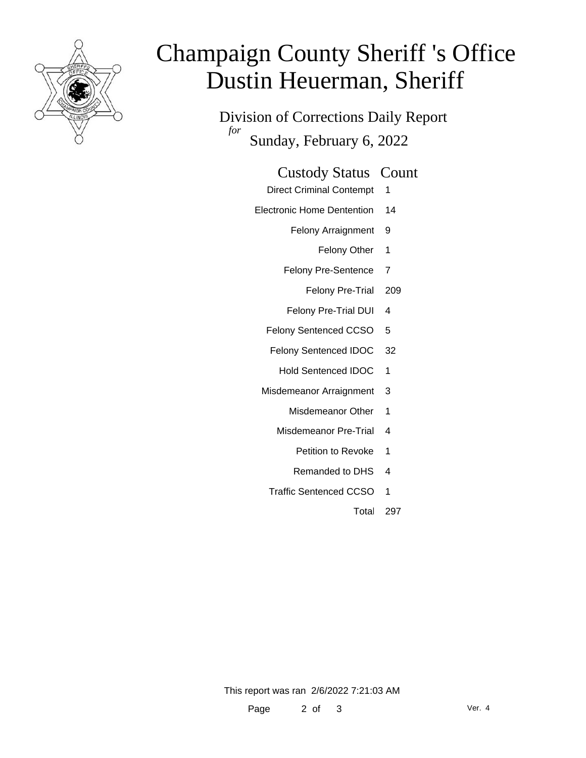

# Champaign County Sheriff 's Office Dustin Heuerman, Sheriff

Division of Corrections Daily Report *for* Sunday, February 6, 2022

### Custody Status Count

- Direct Criminal Contempt 1
- Electronic Home Dentention 14
	- Felony Arraignment 9
		- Felony Other 1
	- Felony Pre-Sentence 7
		- Felony Pre-Trial 209
	- Felony Pre-Trial DUI 4
	- Felony Sentenced CCSO 5
	- Felony Sentenced IDOC 32
		- Hold Sentenced IDOC 1
	- Misdemeanor Arraignment 3
		- Misdemeanor Other 1
		- Misdemeanor Pre-Trial 4
			- Petition to Revoke 1
			- Remanded to DHS 4
		- Traffic Sentenced CCSO 1
			- Total 297